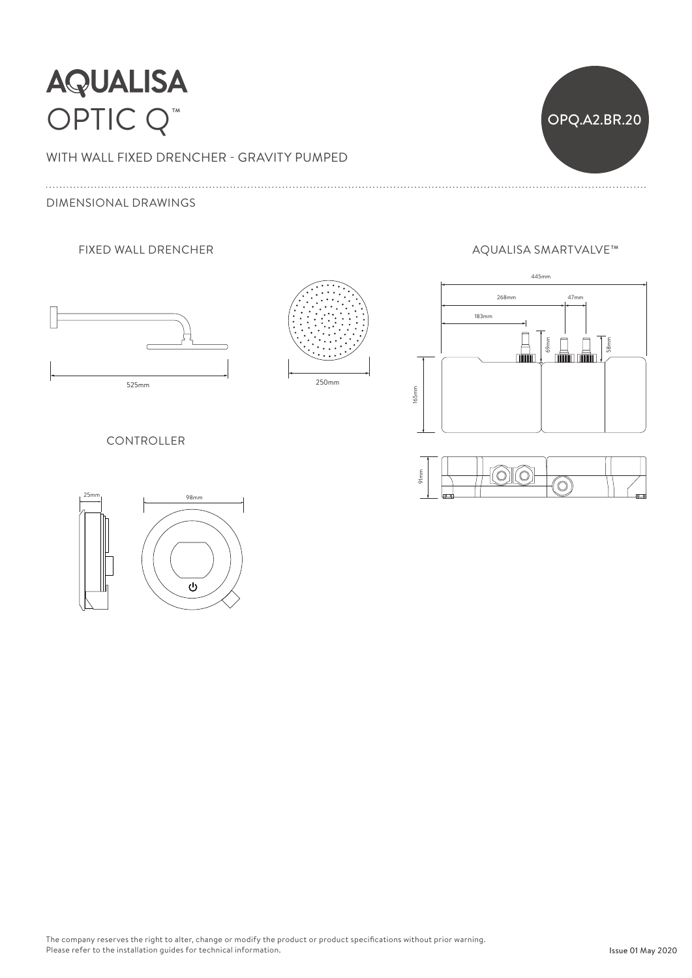## **AQUALISA** OPTIC Q<sup>™</sup> OPQ.A2.BR.20

WITH WALL FIXED DRENCHER - GRAVITY PUMPED Ceiling arm can be cut shorter to suit ceiling height are to suit ceiling her control of the cut shorter to suit ceiling her control of the cut shorter to suit ceiling her control of the cut shorter to suit ceiling her con

DIMENSIONAL DRAWINGS





### FIXED WALL DRENCHER AQUALISA SMARTVALVE™





#### CONTROLLER